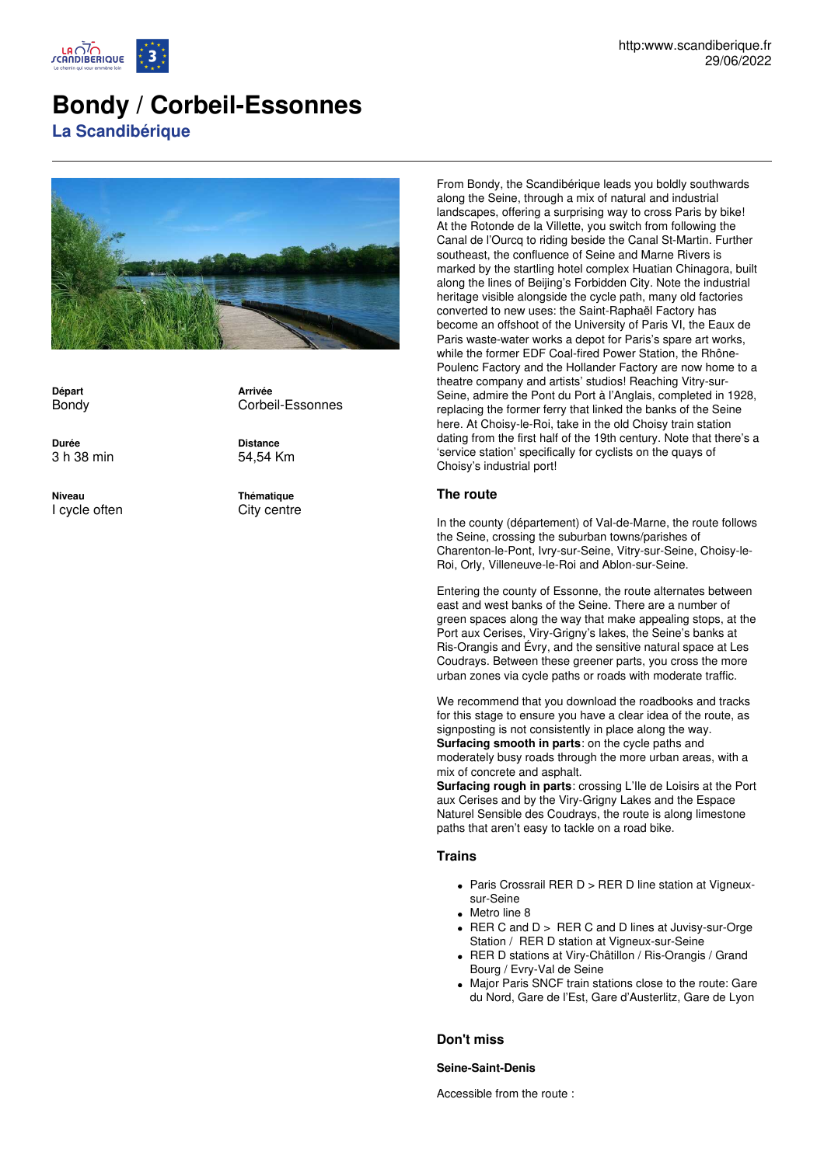

# **Bondy / Corbeil-Essonnes**

**La Scandibérique**



**Départ** Bondy

**Durée** 3 h 38 min

**Niveau** I cycle often **Arrivée** Corbeil-Essonnes

**Distance** 54,54 Km

**Thématique** City centre From Bondy, the Scandibérique leads you boldly southwards along the Seine, through a mix of natural and industrial landscapes, offering a surprising way to cross Paris by bike! At the Rotonde de la Villette, you switch from following the Canal de l'Ourcq to riding beside the Canal St-Martin. Further southeast, the confluence of Seine and Marne Rivers is marked by the startling hotel complex Huatian Chinagora, built along the lines of Beijing's Forbidden City. Note the industrial heritage visible alongside the cycle path, many old factories converted to new uses: the Saint-Raphaël Factory has become an offshoot of the University of Paris VI, the Eaux de Paris waste-water works a depot for Paris's spare art works, while the former EDF Coal-fired Power Station, the Rhône-Poulenc Factory and the Hollander Factory are now home to a theatre company and artists' studios! Reaching Vitry-sur-Seine, admire the Pont du Port à l'Anglais, completed in 1928, replacing the former ferry that linked the banks of the Seine here. At Choisy-le-Roi, take in the old Choisy train station dating from the first half of the 19th century. Note that there's a 'service station' specifically for cyclists on the quays of Choisy's industrial port!

# **The route**

In the county (département) of Val-de-Marne, the route follows the Seine, crossing the suburban towns/parishes of Charenton-le-Pont, Ivry-sur-Seine, Vitry-sur-Seine, Choisy-le-Roi, Orly, Villeneuve-le-Roi and Ablon-sur-Seine.

Entering the county of Essonne, the route alternates between east and west banks of the Seine. There are a number of green spaces along the way that make appealing stops, at the Port aux Cerises, Viry-Grigny's lakes, the Seine's banks at Ris-Orangis and Évry, and the sensitive natural space at Les Coudrays. Between these greener parts, you cross the more urban zones via cycle paths or roads with moderate traffic.

We recommend that you download the roadbooks and tracks for this stage to ensure you have a clear idea of the route, as signposting is not consistently in place along the way. **Surfacing smooth in parts**: on the cycle paths and moderately busy roads through the more urban areas, with a mix of concrete and asphalt.

**Surfacing rough in parts**: crossing L'Ile de Loisirs at the Port aux Cerises and by the Viry-Grigny Lakes and the Espace Naturel Sensible des Coudrays, the route is along limestone paths that aren't easy to tackle on a road bike.

## **Trains**

- Paris Crossrail RER D > RER D line station at Vigneuxsur-Seine
- Metro line 8
- RER C and D > RER C and D lines at Juvisy-sur-Orge Station / RER D station at Vigneux-sur-Seine
- RER D stations at Viry-Châtillon / Ris-Orangis / Grand Bourg / Evry-Val de Seine
- Major Paris SNCF train stations close to the route: Gare du Nord, Gare de l'Est, Gare d'Austerlitz, Gare de Lyon

# **Don't miss**

**Seine-Saint-Denis**

Accessible from the route :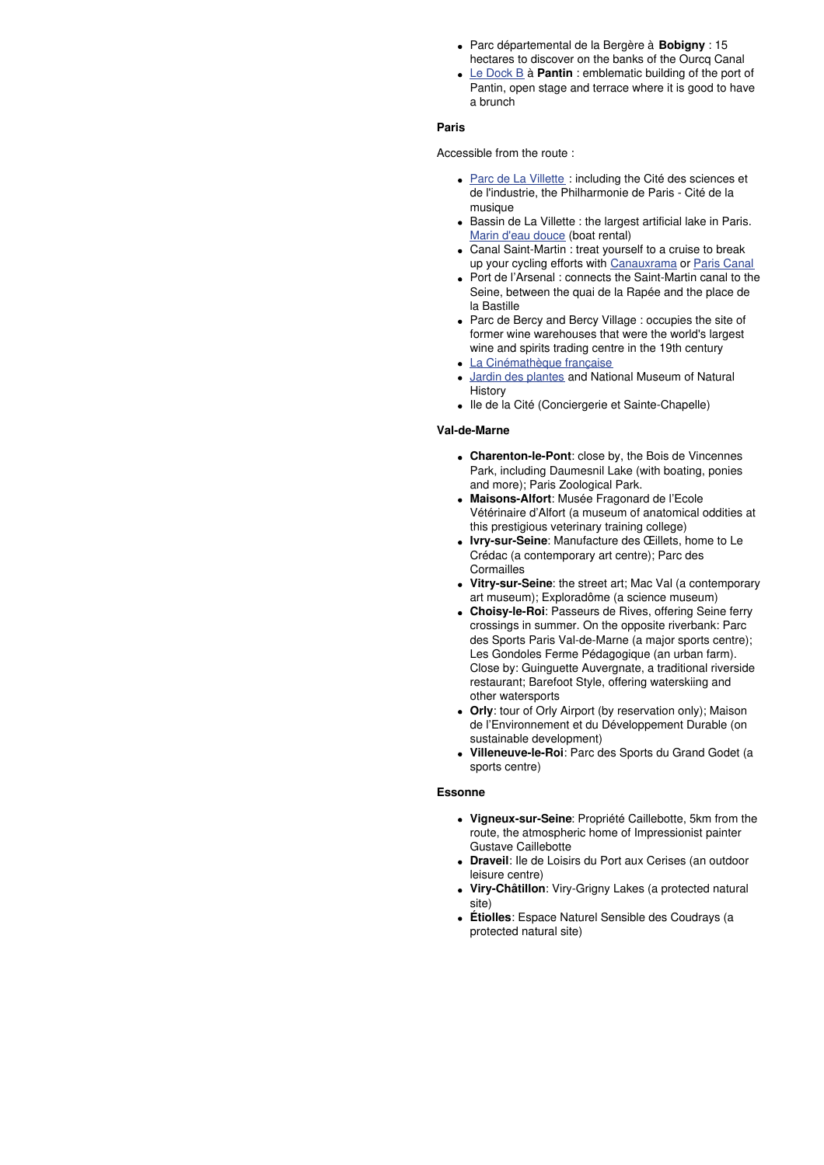- Parc départemental de la Bergère à **Bobigny** : 15 hectares to discover on the banks of the Ourcq Canal
- Le [Dock](https://dockbpantin.com/) B à **Pantin** : emblematic building of the port of Pantin, open stage and terrace where it is good to have a brunch

#### **Paris**

Accessible from the route :

- Parc de La [Villette](https://lavillette.com/%20) : including the Cité des sciences et de l'industrie, the Philharmonie de Paris - Cité de la musique
- Bassin de La Villette : the largest artificial lake in Paris. Marin d'eau [douce](https://www.marindeaudouce.fr/%20) (boat rental)
- Canal Saint-Martin : treat yourself to a cruise to break up your cycling efforts with [Canauxrama](https://www.canauxrama.com/) or Paris [Canal](https://www.pariscanal.com/)
- Port de l'Arsenal : connects the Saint-Martin canal to the Seine, between the quai de la Rapée and the place de la Bastille
- Parc de Bercy and Bercy Village : occupies the site of former wine warehouses that were the world's largest wine and spirits trading centre in the 19th century
- La [Cinémathèque](https://www.cinematheque.fr/) française
- Jardin des [plantes](https://www.jardindesplantesdeparis.fr/fr) and National Museum of Natural **History**
- Ile de la Cité (Conciergerie et Sainte-Chapelle)

#### **Val-de-Marne**

- **Charenton-le-Pont**: close by, the Bois de Vincennes Park, including Daumesnil Lake (with boating, ponies and more); Paris Zoological Park.
- **Maisons-Alfort**: Musée Fragonard de l'Ecole Vétérinaire d'Alfort (a museum of anatomical oddities at this prestigious veterinary training college)
- **Ivry-sur-Seine**: Manufacture des Œillets, home to Le Crédac (a contemporary art centre); Parc des **Cormailles**
- **Vitry-sur-Seine**: the street art; Mac Val (a contemporary art museum); Exploradôme (a science museum)
- **Choisy-le-Roi**: Passeurs de Rives, offering Seine ferry crossings in summer. On the opposite riverbank: Parc des Sports Paris Val-de-Marne (a major sports centre); Les Gondoles Ferme Pédagogique (an urban farm). Close by: Guinguette Auvergnate, a traditional riverside restaurant; Barefoot Style, offering waterskiing and other watersports
- **Orly**: tour of Orly Airport (by reservation only); Maison de l'Environnement et du Développement Durable (on sustainable development)
- **Villeneuve-le-Roi**: Parc des Sports du Grand Godet (a sports centre)

#### **Essonne**

- **Vigneux-sur-Seine**: Propriété Caillebotte, 5km from the route, the atmospheric home of Impressionist painter Gustave Caillebotte
- **Draveil**: Ile de Loisirs du Port aux Cerises (an outdoor leisure centre)
- **Viry-Châtillon**: Viry-Grigny Lakes (a protected natural site)
- **Étiolles**: Espace Naturel Sensible des Coudrays (a protected natural site)